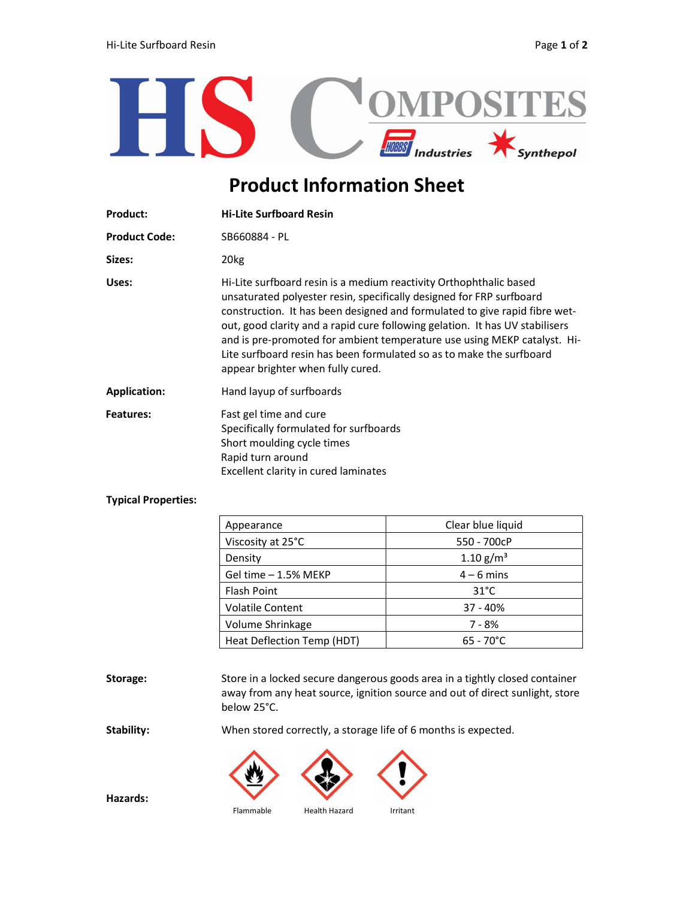

## Product Information Sheet

| <b>Product:</b>      | <b>Hi-Lite Surfboard Resin</b>                                                                                                                                                                                                                                                                                                                                                                                                                                                                    |
|----------------------|---------------------------------------------------------------------------------------------------------------------------------------------------------------------------------------------------------------------------------------------------------------------------------------------------------------------------------------------------------------------------------------------------------------------------------------------------------------------------------------------------|
| <b>Product Code:</b> | SB660884 - PL                                                                                                                                                                                                                                                                                                                                                                                                                                                                                     |
| Sizes:               | 20 <sub>kg</sub>                                                                                                                                                                                                                                                                                                                                                                                                                                                                                  |
| Uses:                | Hi-Lite surfboard resin is a medium reactivity Orthophthalic based<br>unsaturated polyester resin, specifically designed for FRP surfboard<br>construction. It has been designed and formulated to give rapid fibre wet-<br>out, good clarity and a rapid cure following gelation. It has UV stabilisers<br>and is pre-promoted for ambient temperature use using MEKP catalyst. Hi-<br>Lite surfboard resin has been formulated so as to make the surfboard<br>appear brighter when fully cured. |
| <b>Application:</b>  | Hand layup of surfboards                                                                                                                                                                                                                                                                                                                                                                                                                                                                          |
| Features:            | Fast gel time and cure<br>Specifically formulated for surfboards<br>Short moulding cycle times<br>Rapid turn around<br>Excellent clarity in cured laminates                                                                                                                                                                                                                                                                                                                                       |

## Typical Properties:

| Appearance                 | Clear blue liquid     |
|----------------------------|-----------------------|
| Viscosity at 25°C          | 550 - 700cP           |
| Density                    | 1.10 g/m <sup>3</sup> |
| Gel time - 1.5% MEKP       | $4 - 6$ mins          |
| <b>Flash Point</b>         | $31^{\circ}$ C        |
| <b>Volatile Content</b>    | $37 - 40%$            |
| Volume Shrinkage           | 7 - 8%                |
| Heat Deflection Temp (HDT) | $65 - 70^{\circ}C$    |

Storage: Store in a locked secure dangerous goods area in a tightly closed container away from any heat source, ignition source and out of direct sunlight, store below 25°C.

Stability: When stored correctly, a storage life of 6 months is expected.



Hazards:

Flammable Health Hazard Irritant